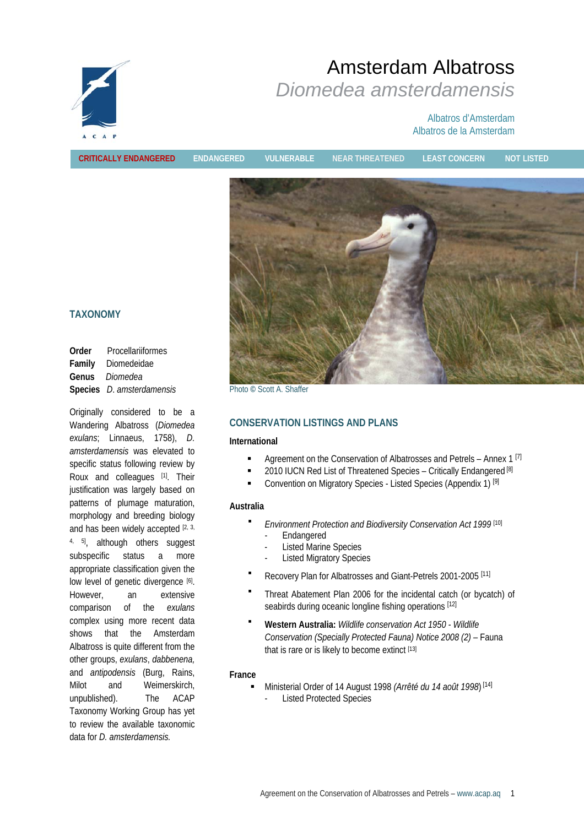

# Amsterdam Albatross *Diomedea amsterdamensis*

## Albatros d'Amsterdam Albatros de la Amsterdam

 **CRITICALLY ENDANGERED ENDANGERED VULNERABLE NEAR THREATENED LEAST CONCERN NOT LISTED**



## **TAXONOMY**

**Order** Procellariiformes **Family** Diomedeidae **Genus** *Diomedea*  **Species** *D*. *amsterdamensis*

Originally considered to be a Wandering Albatross (*Diomedea exulans*; Linnaeus, 1758), *D. amsterdamensis* was elevated to specific status following review by Roux and colleagues [1]. Their justification was largely based on patterns of plumage maturation, morphology and breeding biology and has been widely accepted [2, 3, 4, 5], although others suggest subspecific status a more appropriate classification given the low level of genetic divergence [6]. However, an extensive comparison of the *exulans* complex using more recent data shows that the Amsterdam Albatross is quite different from the other groups, *exulans*, *dabbenena,* and *antipodensis* (Burg, Rains, Milot and Weimerskirch, unpublished). The ACAP Taxonomy Working Group has yet to review the available taxonomic data for *D. amsterdamensis.* 

## **CONSERVATION LISTINGS AND PLANS**

#### **International**

- Agreement on the Conservation of Albatrosses and Petrels Annex 1  $[7]$
- 2010 IUCN Red List of Threatened Species Critically Endangered [8]
- Convention on Migratory Species Listed Species (Appendix 1) [9]

## **Australia**

- *Environment Protection and Biodiversity Conservation Act 1999* [10] **Endangered** 
	- Listed Marine Species
	- Listed Migratory Species
- Recovery Plan for Albatrosses and Giant-Petrels 2001-2005 [11]
- Threat Abatement Plan 2006 for the incidental catch (or bycatch) of seabirds during oceanic longline fishing operations [12]
- **Western Australia:** *Wildlife conservation Act 1950 Wildlife Conservation (Specially Protected Fauna) Notice 2008 (2) –* Fauna that is rare or is likely to become extinct [13]

## **France**

 Ministerial Order of 14 August 1998 *(Arrêté du 14 août 1998*) [14] Listed Protected Species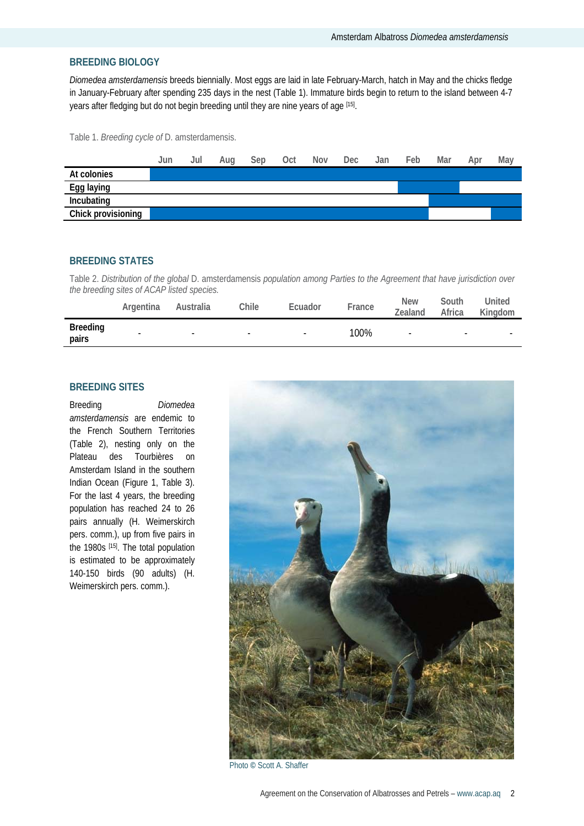## **BREEDING BIOLOGY**

*Diomedea amsterdamensis* breeds biennially. Most eggs are laid in late February-March, hatch in May and the chicks fledge in January-February after spending 235 days in the nest (Table 1). Immature birds begin to return to the island between 4-7 years after fledging but do not begin breeding until they are nine years of age [15].

Table 1. *Breeding cycle of* D. amsterdamensis.



## **BREEDING STATES**

Table 2. *Distribution of the global* D. amsterdamensis *population among Parties to the Agreement that have jurisdiction over the breeding sites of ACAP listed species.* 

|                          | Argentina | Australia                | Chile | Ecuador                  | France | <b>New</b><br><b>Zealand</b> | South<br>Africa          | United<br>Kingdom |
|--------------------------|-----------|--------------------------|-------|--------------------------|--------|------------------------------|--------------------------|-------------------|
| <b>Breeding</b><br>pairs | -         | $\overline{\phantom{0}}$ | -     | $\overline{\phantom{0}}$ | 100%   | $\overline{\phantom{0}}$     | $\overline{\phantom{0}}$ | -                 |

## **BREEDING SITES**

Breeding *Diomedea amsterdamensis* are endemic to the French Southern Territories (Table 2), nesting only on the Plateau des Tourbières on Amsterdam Island in the southern Indian Ocean (Figure 1, Table 3). For the last 4 years, the breeding population has reached 24 to 26 pairs annually (H. Weimerskirch pers. comm.), up from five pairs in the 1980s [15]. The total population is estimated to be approximately 140-150 birds (90 adults) (H. Weimerskirch pers. comm.).



Photo **©** Scott A. Shaffer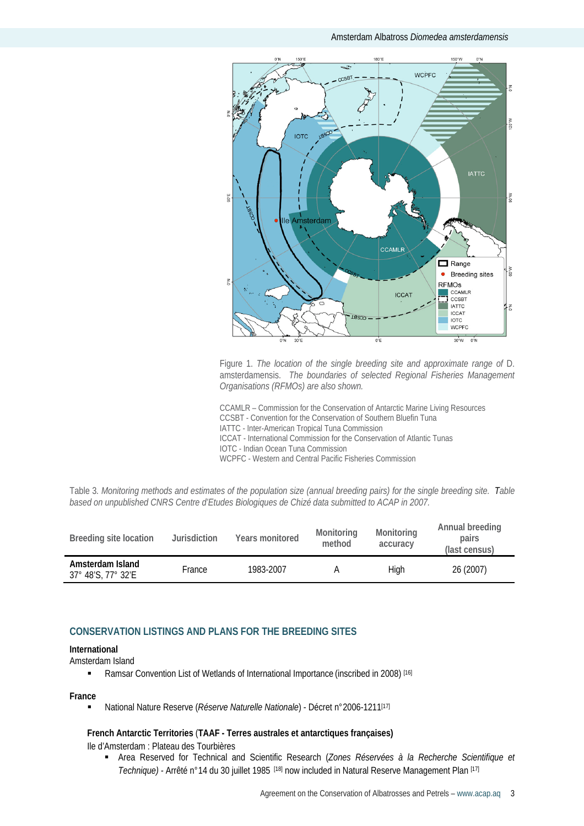

Figure 1. *The location of the single breeding site and approximate range of* D. amsterdamensis. *The boundaries of selected Regional Fisheries Management Organisations (RFMOs) are also shown.* 

CCAMLR – Commission for the Conservation of Antarctic Marine Living Resources CCSBT - Convention for the Conservation of Southern Bluefin Tuna IATTC - Inter-American Tropical Tuna Commission ICCAT - International Commission for the Conservation of Atlantic Tunas IOTC - Indian Ocean Tuna Commission

WCPFC - Western and Central Pacific Fisheries Commission

Table 3*. Monitoring methods and estimates of the population size (annual breeding pairs) for the single breeding site. Table based on unpublished CNRS Centre d'Etudes Biologiques de Chizé data submitted to ACAP in 2007.* 

| Breeding site location                 | <b>Jurisdiction</b> | Years monitored | Monitoring<br>method | Monitoring<br>accuracy | Annual breeding<br>pairs<br>(last census) |
|----------------------------------------|---------------------|-----------------|----------------------|------------------------|-------------------------------------------|
| Amsterdam Island<br>37° 48′S, 77° 32′E | France              | 1983-2007       |                      | Hiah                   | 26 (2007)                                 |

## **CONSERVATION LISTINGS AND PLANS FOR THE BREEDING SITES**

#### **International**

Amsterdam Island

• Ramsar Convention List of Wetlands of International Importance (inscribed in 2008) [16]

#### **France**

■ National Nature Reserve (*Réserve Naturelle Nationale*) - Décret n°2006-1211<sup>[17]</sup>

#### **French Antarctic Territories** (**TAAF - Terres australes et antarctiques françaises)**  Ile d'Amsterdam : Plateau des Tourbières

 Area Reserved for Technical and Scientific Research (*Zones Réservées à la Recherche Scientifique et Technique) -* Arrêté n°14 du 30 juillet 1985 [18] now included in Natural Reserve Management Plan [17]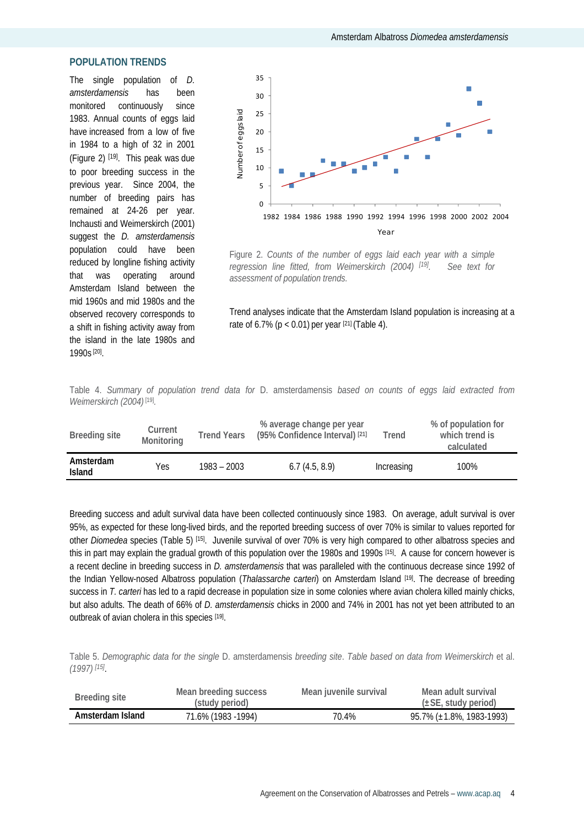## **POPULATION TRENDS**

The single population of *D. amsterdamensis* has been monitored continuously since 1983. Annual counts of eggs laid have increased from a low of five in 1984 to a high of 32 in 2001 (Figure 2) [19]. This peak was due to poor breeding success in the previous year. Since 2004, the number of breeding pairs has remained at 24-26 per year. Inchausti and Weimerskirch (2001) suggest the *D. amsterdamensis* population could have been reduced by longline fishing activity that was operating around Amsterdam Island between the mid 1960s and mid 1980s and the observed recovery corresponds to a shift in fishing activity away from the island in the late 1980s and 1990s [20].



Figure 2. *Counts of the number of eggs laid each year with a simple regression line fitted, from Weimerskirch (2004) [19]. See text for assessment of population trends.* 

Trend analyses indicate that the Amsterdam Island population is increasing at a rate of 6.7% ( $p < 0.01$ ) per year [21] (Table 4).

|                                       |  |  |  | Table 4. Summary of population trend data for D. amsterdamensis based on counts of eggs laid extracted from |  |  |  |  |
|---------------------------------------|--|--|--|-------------------------------------------------------------------------------------------------------------|--|--|--|--|
| Weimerskirch (2004) <sup>[19]</sup> . |  |  |  |                                                                                                             |  |  |  |  |

| Breeding site              | Current<br>Monitoring | <b>Trend Years</b> | % average change per year<br>(95% Confidence Interval) [21] | Trend      | % of population for<br>which trend is<br>calculated |
|----------------------------|-----------------------|--------------------|-------------------------------------------------------------|------------|-----------------------------------------------------|
| Amsterdam<br><b>Island</b> | Yes                   | $1983 - 2003$      | 6.7(4.5, 8.9)                                               | Increasing | 100%                                                |

Breeding success and adult survival data have been collected continuously since 1983. On average, adult survival is over 95%, as expected for these long-lived birds, and the reported breeding success of over 70% is similar to values reported for other *Diomedea* species (Table 5) [15]. Juvenile survival of over 70% is very high compared to other albatross species and this in part may explain the gradual growth of this population over the 1980s and 1990s [15]. A cause for concern however is a recent decline in breeding success in *D. amsterdamensis* that was paralleled with the continuous decrease since 1992 of the Indian Yellow-nosed Albatross population (*Thalassarche carteri*) on Amsterdam Island [19]. The decrease of breeding success in *T. carteri* has led to a rapid decrease in population size in some colonies where avian cholera killed mainly chicks, but also adults. The death of 66% of *D. amsterdamensis* chicks in 2000 and 74% in 2001 has not yet been attributed to an outbreak of avian cholera in this species [19].

Table 5. *Demographic data for the single* D. amsterdamensis *breeding site*. *Table based on data from Weimerskirch* et al. *(1997) [15]*.

| Mean breeding success<br>Breeding site<br>(study period) |                    | Mean juvenile survival | Mean adult survival<br>$(\pm S E, \text{study period})$ |  |  |
|----------------------------------------------------------|--------------------|------------------------|---------------------------------------------------------|--|--|
| Amsterdam Island                                         | 71.6% (1983 -1994) | 70.4%                  | $95.7\%$ (±1.8%, 1983-1993)                             |  |  |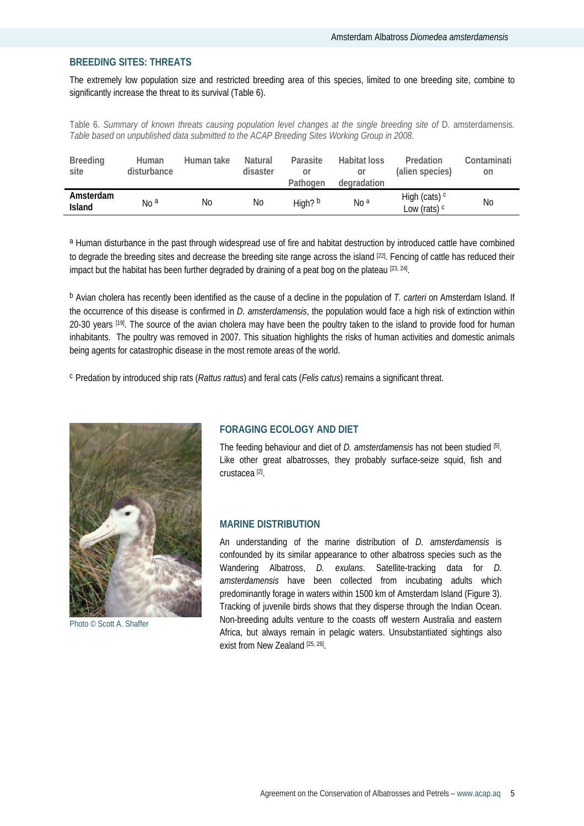## **BREEDING SITES: THREATS**

The extremely low population size and restricted breeding area of this species, limited to one breeding site, combine to significantly increase the threat to its survival (Table 6).

Table 6. *Summary of known threats causing population level changes at the single breeding site of* D. amsterdamensis*. Table based on unpublished data submitted to the ACAP Breeding Sites Working Group in 2008.* 

| <b>Breeding</b><br>site    | Human<br>disturbance | Human take | Natural<br>disaster | Parasite<br>or<br>Pathogen | Habitat loss<br>degradation | Predation<br>(alien species)      | Contaminati<br><sub>on</sub> |
|----------------------------|----------------------|------------|---------------------|----------------------------|-----------------------------|-----------------------------------|------------------------------|
| Amsterdam<br><b>Island</b> | No a                 | No         | No                  | High? $b$                  | No <sup>a</sup>             | High (cats) $c$<br>Low (rats) $c$ | No                           |

a Human disturbance in the past through widespread use of fire and habitat destruction by introduced cattle have combined to degrade the breeding sites and decrease the breeding site range across the island [22]. Fencing of cattle has reduced their impact but the habitat has been further degraded by draining of a peat bog on the plateau [23, 24].

b Avian cholera has recently been identified as the cause of a decline in the population of *T. carteri* on Amsterdam Island. If the occurrence of this disease is confirmed in *D. amsterdamensis*, the population would face a high risk of extinction within 20-30 years <sup>[19]</sup>. The source of the avian cholera may have been the poultry taken to the island to provide food for human inhabitants. The poultry was removed in 2007. This situation highlights the risks of human activities and domestic animals being agents for catastrophic disease in the most remote areas of the world.

c Predation by introduced ship rats (*Rattus rattus*) and feral cats (*Felis catus*) remains a significant threat.



Photo © Scott A. Shaffer

## **FORAGING ECOLOGY AND DIET**

The feeding behaviour and diet of *D. amsterdamensis* has not been studied [5]. Like other great albatrosses, they probably surface-seize squid, fish and crustacea [2].

## **MARINE DISTRIBUTION**

An understanding of the marine distribution of *D. amsterdamensis* is confounded by its similar appearance to other albatross species such as the Wandering Albatross, *D. exulans*. Satellite-tracking data for *D. amsterdamensis* have been collected from incubating adults which predominantly forage in waters within 1500 km of Amsterdam Island (Figure 3). Tracking of juvenile birds shows that they disperse through the Indian Ocean. Non-breeding adults venture to the coasts off western Australia and eastern Africa, but always remain in pelagic waters. Unsubstantiated sightings also exist from New Zealand [25, 26].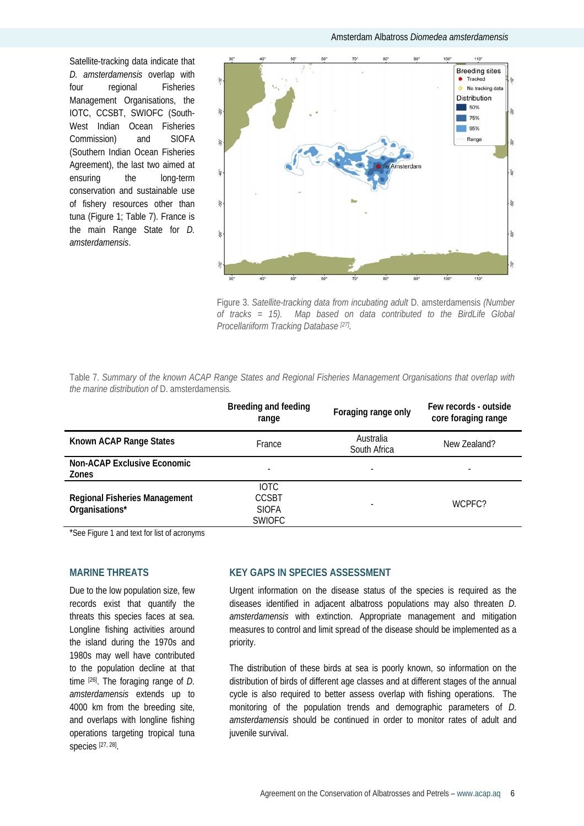Satellite-tracking data indicate that *D. amsterdamensis* overlap with four regional Fisheries Management Organisations, the IOTC, CCSBT, SWIOFC (South-West Indian Ocean Fisheries Commission) and SIOFA (Southern Indian Ocean Fisheries Agreement), the last two aimed at ensuring the long-term conservation and sustainable use of fishery resources other than tuna (Figure 1; Table 7). France is the main Range State for *D. amsterdamensis*.



Figure 3. *Satellite-tracking data from incubating adult* D. amsterdamensis *(Number of tracks = 15). Map based on data contributed to the BirdLife Global Procellariiform Tracking Database [27].* 

|                                                        | Breeding and feeding<br>range                                | Foraging range only       | Few records - outside<br>core foraging range |
|--------------------------------------------------------|--------------------------------------------------------------|---------------------------|----------------------------------------------|
| Known ACAP Range States                                | France                                                       | Australia<br>South Africa | New Zealand?                                 |
| <b>Non-ACAP Exclusive Economic</b><br><b>Zones</b>     | ٠                                                            | $\overline{\phantom{a}}$  | $\overline{\phantom{a}}$                     |
| <b>Regional Fisheries Management</b><br>Organisations* | <b>IOTC</b><br><b>CCSBT</b><br><b>SIOFA</b><br><b>SWIOFC</b> | $\overline{\phantom{a}}$  | WCPFC?                                       |

Table 7. *Summary of the known ACAP Range States and Regional Fisheries Management Organisations that overlap with the marine distribution of* D. amsterdamensis*.*

\*See Figure 1 and text for list of acronyms

#### **MARINE THREATS**

Due to the low population size, few records exist that quantify the threats this species faces at sea. Longline fishing activities around the island during the 1970s and 1980s may well have contributed to the population decline at that time [26]. The foraging range of *D. amsterdamensis* extends up to 4000 km from the breeding site, and overlaps with longline fishing operations targeting tropical tuna species [27, 28].

#### **KEY GAPS IN SPECIES ASSESSMENT**

Urgent information on the disease status of the species is required as the diseases identified in adjacent albatross populations may also threaten *D. amsterdamensis* with extinction. Appropriate management and mitigation measures to control and limit spread of the disease should be implemented as a priority.

The distribution of these birds at sea is poorly known, so information on the distribution of birds of different age classes and at different stages of the annual cycle is also required to better assess overlap with fishing operations. The monitoring of the population trends and demographic parameters of *D. amsterdamensis* should be continued in order to monitor rates of adult and juvenile survival.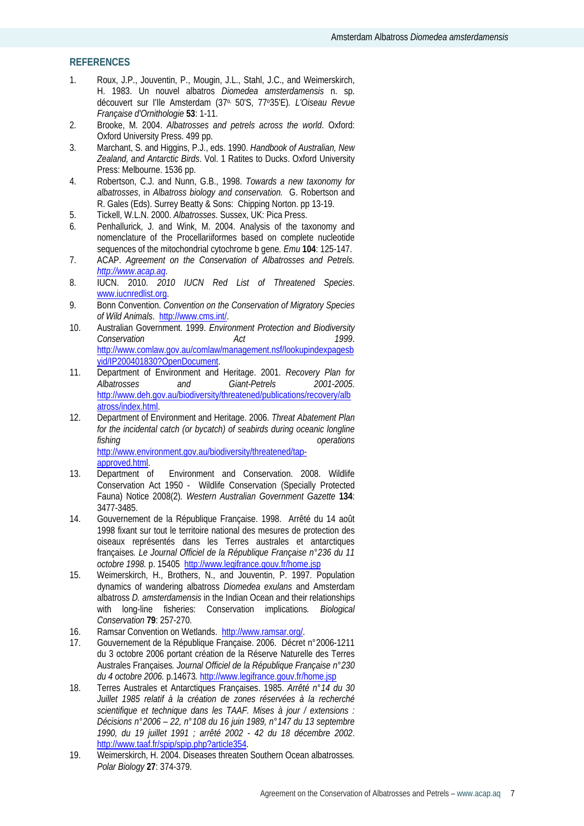## **REFERENCES**

- 1. Roux, J.P., Jouventin, P., Mougin, J.L., Stahl, J.C., and Weimerskirch, H. 1983. Un nouvel albatros *Diomedea amsterdamensis* n. sp. découvert sur I'Ile Amsterdam (37o, 50'S, 77o35'E)*. L'Oiseau Revue Française d'Ornithologie* **53**: 1-11.
- 2. Brooke, M. 2004. *Albatrosses and petrels across the world*. Oxford: Oxford University Press. 499 pp.
- 3. Marchant, S. and Higgins, P.J., eds. 1990. *Handbook of Australian, New Zealand, and Antarctic Birds*. Vol. 1 Ratites to Ducks. Oxford University Press: Melbourne. 1536 pp.
- 4. Robertson, C.J. and Nunn, G.B., 1998. *Towards a new taxonomy for albatrosses*, in *Albatross biology and conservation.* G. Robertson and R. Gales (Eds). Surrey Beatty & Sons: Chipping Norton. pp 13-19.
- 5. Tickell, W.L.N. 2000. *Albatrosses*. Sussex, UK: Pica Press.
- 6. Penhallurick, J. and Wink, M. 2004. Analysis of the taxonomy and nomenclature of the Procellariiformes based on complete nucleotide sequences of the mitochondrial cytochrome b gene*. Emu* **104**: 125-147.
- 7. ACAP. *Agreement on the Conservation of Albatrosses and Petrels. http://www.acap.aq*.
- 8. IUCN. 2010. *2010 IUCN Red List of Threatened Species*. www.iucnredlist.org.
- 9. Bonn Convention. *Convention on the Conservation of Migratory Species of Wild Animals*. http://www.cms.int/.
- 10. Australian Government. 1999. *Environment Protection and Biodiversity Conservation Act 1999*. http://www.comlaw.gov.au/comlaw/management.nsf/lookupindexpagesb yid/IP200401830?OpenDocument.
- 11. Department of Environment and Heritage. 2001. *Recovery Plan for Albatrosses and Giant-Petrels 2001-2005*. http://www.deh.gov.au/biodiversity/threatened/publications/recovery/alb atross/index.html.
- 12. Department of Environment and Heritage. 2006. *Threat Abatement Plan for the incidental catch (or bycatch) of seabirds during oceanic longline fishing operations*  http://www.environment.gov.au/biodiversity/threatened/tapapproved.html.
- 13. Department of Environment and Conservation. 2008. Wildlife Conservation Act 1950 - Wildlife Conservation (Specially Protected Fauna) Notice 2008(2)*. Western Australian Government Gazette* **134**: 3477-3485.
- 14. Gouvernement de la République Française. 1998. Arrêté du 14 août 1998 fixant sur tout le territoire national des mesures de protection des oiseaux représentés dans les Terres australes et antarctiques françaises*. Le Journal Officiel de la République Française n°236 du 11 octobre 1998.* p. 15405 http://www.legifrance.gouv.fr/home.jsp
- 15. Weimerskirch, H., Brothers, N., and Jouventin, P. 1997. Population dynamics of wandering albatross *Diomedea exulans* and Amsterdam albatross *D. amsterdamensis* in the Indian Ocean and their relationships with long-line fisheries: Conservation implications*. Biological Conservation* **79**: 257-270.
- 16. Ramsar Convention on Wetlands. http://www.ramsar.org/.
- 17. Gouvernement de la République Française. 2006. Décret n°2006-1211 du 3 octobre 2006 portant création de la Réserve Naturelle des Terres Australes Françaises*. Journal Officiel de la République Française n°230 du 4 octobre 2006.* p.14673*.* http://www.legifrance.gouv.fr/home.jsp
- 18. Terres Australes et Antarctiques Françaises. 1985. *Arrêté n°14 du 30 Juillet 1985 relatif à la création de zones réservées à la recherché scientifique et technique dans les TAAF. Mises à jour / extensions : Décisions n°2006 – 22, n°108 du 16 juin 1989, n°147 du 13 septembre 1990, du 19 juillet 1991 ; arrêté 2002 - 42 du 18 décembre 2002*. http://www.taaf.fr/spip/spip.php?article354.
- 19. Weimerskirch, H. 2004. Diseases threaten Southern Ocean albatrosses*. Polar Biology* **27**: 374-379.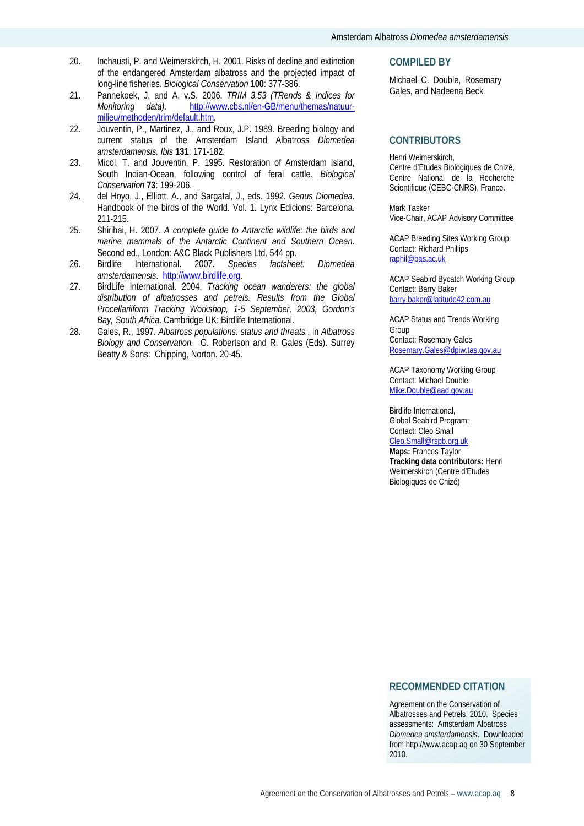- 20. Inchausti, P. and Weimerskirch, H. 2001. Risks of decline and extinction of the endangered Amsterdam albatross and the projected impact of long-line fisheries*. Biological Conservation* **100**: 377-386.
- 21. Pannekoek, J. and A, v.S. 2006. *TRIM 3.53 (TRends & Indices for Monitoring data).* http://www.cbs.nl/en-GB/menu/themas/natuurmilieu/methoden/trim/default.htm.
- 22. Jouventin, P., Martinez, J., and Roux, J.P. 1989. Breeding biology and current status of the Amsterdam Island Albatross *Diomedea amsterdamensis. Ibis* **131**: 171-182.
- 23. Micol, T. and Jouventin, P. 1995. Restoration of Amsterdam Island, South Indian-Ocean, following control of feral cattle*. Biological Conservation* **73**: 199-206.
- 24. del Hoyo, J., Elliott, A., and Sargatal, J., eds. 1992. *Genus Diomedea*. Handbook of the birds of the World. Vol. 1. Lynx Edicions: Barcelona. 211-215.
- 25. Shirihai, H. 2007. *A complete guide to Antarctic wildlife: the birds and marine mammals of the Antarctic Continent and Southern Ocean*. Second ed., London: A&C Black Publishers Ltd. 544 pp.
- 26. Birdlife International. 2007. *Species factsheet: Diomedea amsterdamensis*. http://www.birdlife.org.
- 27. BirdLife International. 2004. *Tracking ocean wanderers: the global distribution of albatrosses and petrels. Results from the Global Procellariiform Tracking Workshop, 1-5 September, 2003, Gordon's Bay, South Africa*. Cambridge UK: Birdlife International.
- 28. Gales, R., 1997. *Albatross populations: status and threats.*, in *Albatross Biology and Conservation.* G. Robertson and R. Gales (Eds). Surrey Beatty & Sons: Chipping, Norton. 20-45.

#### **COMPILED BY**

Michael C. Double, Rosemary Gales, and Nadeena Beck.

#### **CONTRIBUTORS**

Henri Weimerskirch, Centre d'Etudes Biologiques de Chizé, Centre National de la Recherche Scientifique (CEBC-CNRS), France.

Mark Tasker Vice-Chair, ACAP Advisory Committee

ACAP Breeding Sites Working Group Contact: Richard Phillips raphil@bas.ac.uk

ACAP Seabird Bycatch Working Group Contact: Barry Baker barry.baker@latitude42.com.au

ACAP Status and Trends Working Group Contact: Rosemary Gales Rosemary.Gales@dpiw.tas.gov.au

ACAP Taxonomy Working Group Contact: Michael Double Mike.Double@aad.gov.au

Birdlife International, Global Seabird Program: Contact: Cleo Small Cleo.Small@rspb.org.uk **Maps:** Frances Taylor **Tracking data contributors:** Henri Weimerskirch (Centre d'Etudes Biologiques de Chizé)

#### **RECOMMENDED CITATION**

Agreement on the Conservation of Albatrosses and Petrels. 2010. Species assessments: Amsterdam Albatross *Diomedea amsterdamensis*. Downloaded from http://www.acap.aq on 30 September 2010.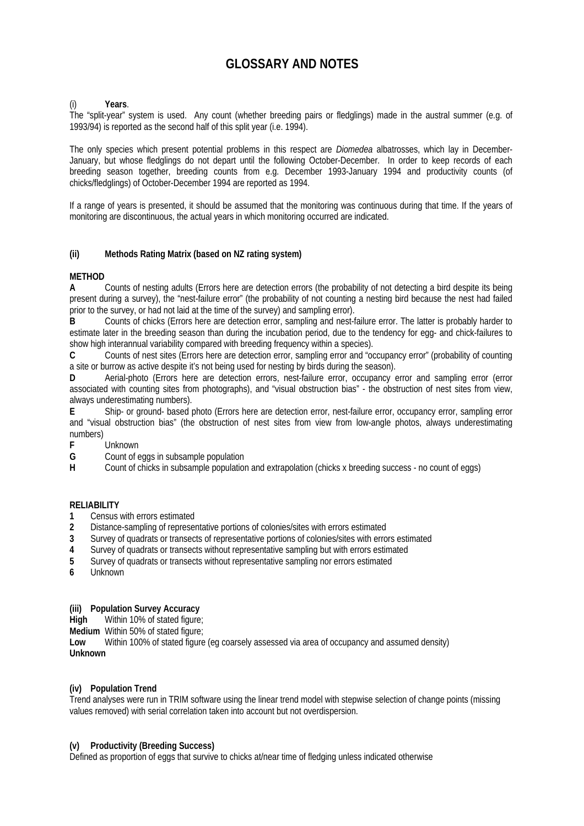## **GLOSSARY AND NOTES**

#### (i) **Years**.

The "split-year" system is used. Any count (whether breeding pairs or fledglings) made in the austral summer (e.g. of 1993/94) is reported as the second half of this split year (i.e. 1994).

The only species which present potential problems in this respect are *Diomedea* albatrosses, which lay in December-January, but whose fledglings do not depart until the following October-December. In order to keep records of each breeding season together, breeding counts from e.g. December 1993-January 1994 and productivity counts (of chicks/fledglings) of October-December 1994 are reported as 1994.

If a range of years is presented, it should be assumed that the monitoring was continuous during that time. If the years of monitoring are discontinuous, the actual years in which monitoring occurred are indicated.

#### **(ii) Methods Rating Matrix (based on NZ rating system)**

## **METHOD**

**A** Counts of nesting adults (Errors here are detection errors (the probability of not detecting a bird despite its being present during a survey), the "nest-failure error" (the probability of not counting a nesting bird because the nest had failed prior to the survey, or had not laid at the time of the survey) and sampling error).

**B** Counts of chicks (Errors here are detection error, sampling and nest-failure error. The latter is probably harder to estimate later in the breeding season than during the incubation period, due to the tendency for egg- and chick-failures to show high interannual variability compared with breeding frequency within a species).

**C** Counts of nest sites (Errors here are detection error, sampling error and "occupancy error" (probability of counting a site or burrow as active despite it's not being used for nesting by birds during the season).

**D** Aerial-photo (Errors here are detection errors, nest-failure error, occupancy error and sampling error (error associated with counting sites from photographs), and "visual obstruction bias" - the obstruction of nest sites from view, always underestimating numbers).

**E** Ship- or ground- based photo (Errors here are detection error, nest-failure error, occupancy error, sampling error and "visual obstruction bias" (the obstruction of nest sites from view from low-angle photos, always underestimating numbers)

**F** Unknown

**G** Count of eggs in subsample population

**H** Count of chicks in subsample population and extrapolation (chicks x breeding success - no count of eggs)

#### **RELIABILITY**

- **1** Census with errors estimated
- **2** Distance-sampling of representative portions of colonies/sites with errors estimated
- **3** Survey of quadrats or transects of representative portions of colonies/sites with errors estimated
- **4** Survey of quadrats or transects without representative sampling but with errors estimated
- **5** Survey of quadrats or transects without representative sampling nor errors estimated
- **6** Unknown

## **(iii) Population Survey Accuracy**

**High** Within 10% of stated figure;

**Medium** Within 50% of stated figure;

**Low** Within 100% of stated figure (eg coarsely assessed via area of occupancy and assumed density) **Unknown** 

#### **(iv) Population Trend**

Trend analyses were run in TRIM software using the linear trend model with stepwise selection of change points (missing values removed) with serial correlation taken into account but not overdispersion.

#### **(v) Productivity (Breeding Success)**

Defined as proportion of eggs that survive to chicks at/near time of fledging unless indicated otherwise